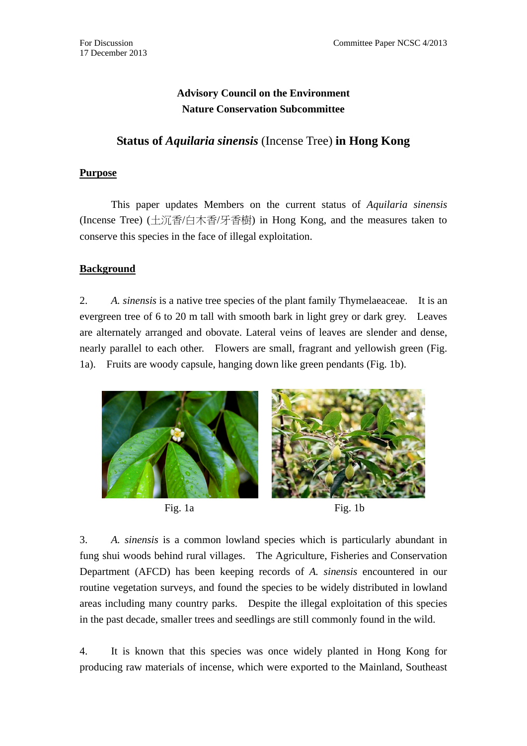# **Advisory Council on the Environment Nature Conservation Subcommittee**

## **Status of** *Aquilaria sinensis* (Incense Tree) **in Hong Kong**

#### **Purpose**

 This paper updates Members on the current status of *Aquilaria sinensis* (Incense Tree) (土沉香/白木香/牙香樹) in Hong Kong, and the measures taken to conserve this species in the face of illegal exploitation.

### **Background**

2. *A. sinensis* is a native tree species of the plant family Thymelaeaceae. It is an evergreen tree of 6 to 20 m tall with smooth bark in light grey or dark grey. Leaves are alternately arranged and obovate. Lateral veins of leaves are slender and dense, nearly parallel to each other. Flowers are small, fragrant and yellowish green (Fig. 1a). Fruits are woody capsule, hanging down like green pendants (Fig. 1b).



3. *A. sinensis* is a common lowland species which is particularly abundant in fung shui woods behind rural villages. The Agriculture, Fisheries and Conservation Department (AFCD) has been keeping records of *A. sinensis* encountered in our routine vegetation surveys, and found the species to be widely distributed in lowland areas including many country parks. Despite the illegal exploitation of this species in the past decade, smaller trees and seedlings are still commonly found in the wild.

4. It is known that this species was once widely planted in Hong Kong for producing raw materials of incense, which were exported to the Mainland, Southeast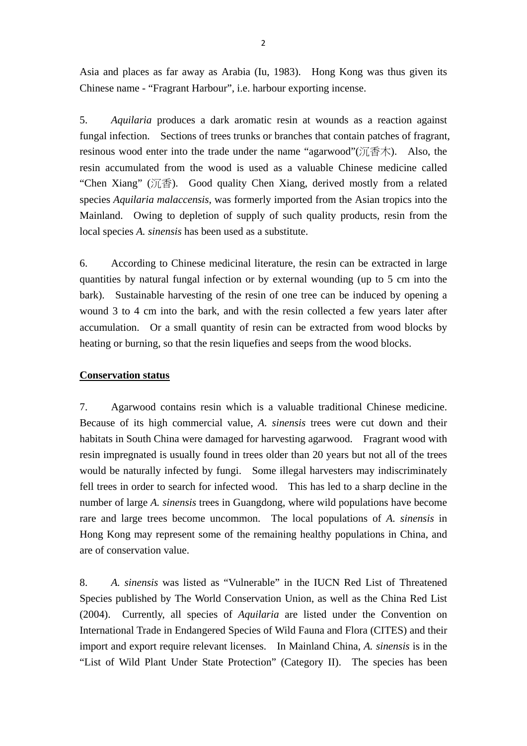Asia and places as far away as Arabia (Iu, 1983). Hong Kong was thus given its Chinese name - "Fragrant Harbour", i.e. harbour exporting incense.

5. *Aquilaria* produces a dark aromatic resin at wounds as a reaction against fungal infection. Sections of trees trunks or branches that contain patches of fragrant, resinous wood enter into the trade under the name "agarwood" $(\tilde{C}\tilde{A}^T\tilde{A})$ . Also, the resin accumulated from the wood is used as a valuable Chinese medicine called "Chen Xiang" (沉香). Good quality Chen Xiang, derived mostly from a related species *Aquilaria malaccensis*, was formerly imported from the Asian tropics into the Mainland. Owing to depletion of supply of such quality products, resin from the local species *A. sinensis* has been used as a substitute.

6. According to Chinese medicinal literature, the resin can be extracted in large quantities by natural fungal infection or by external wounding (up to 5 cm into the bark). Sustainable harvesting of the resin of one tree can be induced by opening a wound 3 to 4 cm into the bark, and with the resin collected a few years later after accumulation. Or a small quantity of resin can be extracted from wood blocks by heating or burning, so that the resin liquefies and seeps from the wood blocks.

#### **Conservation status**

7. Agarwood contains resin which is a valuable traditional Chinese medicine. Because of its high commercial value, *A. sinensis* trees were cut down and their habitats in South China were damaged for harvesting agarwood. Fragrant wood with resin impregnated is usually found in trees older than 20 years but not all of the trees would be naturally infected by fungi. Some illegal harvesters may indiscriminately fell trees in order to search for infected wood. This has led to a sharp decline in the number of large *A. sinensis* trees in Guangdong, where wild populations have become rare and large trees become uncommon. The local populations of *A. sinensis* in Hong Kong may represent some of the remaining healthy populations in China, and are of conservation value.

8. *A. sinensis* was listed as "Vulnerable" in the IUCN Red List of Threatened Species published by The World Conservation Union, as well as the China Red List (2004). Currently, all species of *Aquilaria* are listed under the Convention on International Trade in Endangered Species of Wild Fauna and Flora (CITES) and their import and export require relevant licenses. In Mainland China, *A. sinensis* is in the "List of Wild Plant Under State Protection" (Category II). The species has been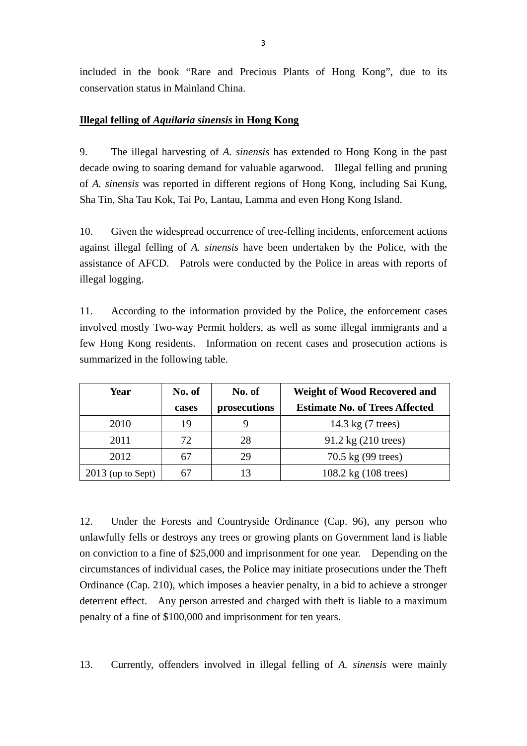included in the book "Rare and Precious Plants of Hong Kong", due to its conservation status in Mainland China.

#### **Illegal felling of** *Aquilaria sinensis* **in Hong Kong**

9. The illegal harvesting of *A. sinensis* has extended to Hong Kong in the past decade owing to soaring demand for valuable agarwood. Illegal felling and pruning of *A. sinensis* was reported in different regions of Hong Kong, including Sai Kung, Sha Tin, Sha Tau Kok, Tai Po, Lantau, Lamma and even Hong Kong Island.

10. Given the widespread occurrence of tree-felling incidents, enforcement actions against illegal felling of *A. sinensis* have been undertaken by the Police, with the assistance of AFCD. Patrols were conducted by the Police in areas with reports of illegal logging.

11. According to the information provided by the Police, the enforcement cases involved mostly Two-way Permit holders, as well as some illegal immigrants and a few Hong Kong residents. Information on recent cases and prosecution actions is summarized in the following table.

| Year                | No. of | No. of       | <b>Weight of Wood Recovered and</b>    |
|---------------------|--------|--------------|----------------------------------------|
|                     | cases  | prosecutions | <b>Estimate No. of Trees Affected</b>  |
| 2010                | 19     |              | 14.3 kg (7 trees)                      |
| 2011                | 72     | 28           | $91.2 \text{ kg} (210 \text{ trees})$  |
| 2012                |        | 29           | 70.5 kg (99 trees)                     |
| $2013$ (up to Sept) |        | 13           | $108.2 \text{ kg} (108 \text{ trees})$ |

12. Under the Forests and Countryside Ordinance (Cap. 96), any person who unlawfully fells or destroys any trees or growing plants on Government land is liable on conviction to a fine of \$25,000 and imprisonment for one year. Depending on the circumstances of individual cases, the Police may initiate prosecutions under the Theft Ordinance (Cap. 210), which imposes a heavier penalty, in a bid to achieve a stronger deterrent effect. Any person arrested and charged with theft is liable to a maximum penalty of a fine of \$100,000 and imprisonment for ten years.

13. Currently, offenders involved in illegal felling of *A. sinensis* were mainly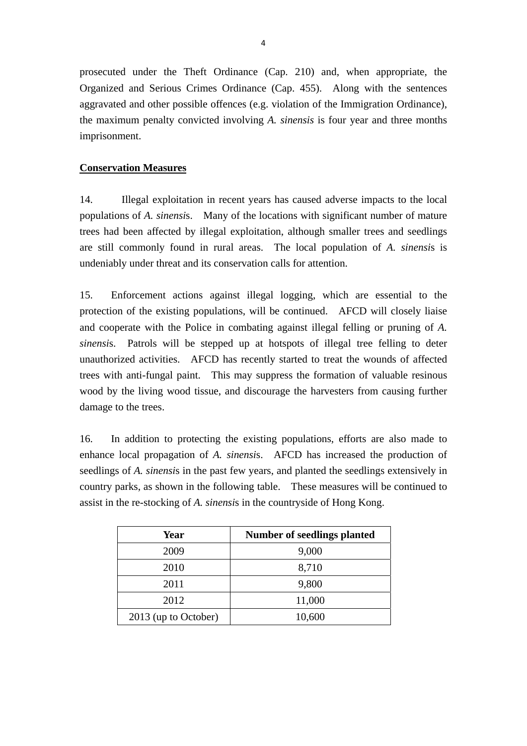prosecuted under the Theft Ordinance (Cap. 210) and, when appropriate, the Organized and Serious Crimes Ordinance (Cap. 455). Along with the sentences aggravated and other possible offences (e.g. violation of the Immigration Ordinance), the maximum penalty convicted involving *A. sinensis* is four year and three months imprisonment.

#### **Conservation Measures**

14. Illegal exploitation in recent years has caused adverse impacts to the local populations of *A. sinensi*s. Many of the locations with significant number of mature trees had been affected by illegal exploitation, although smaller trees and seedlings are still commonly found in rural areas. The local population of *A. sinensi*s is undeniably under threat and its conservation calls for attention.

15. Enforcement actions against illegal logging, which are essential to the protection of the existing populations, will be continued. AFCD will closely liaise and cooperate with the Police in combating against illegal felling or pruning of *A. sinensi*s. Patrols will be stepped up at hotspots of illegal tree felling to deter unauthorized activities. AFCD has recently started to treat the wounds of affected trees with anti-fungal paint. This may suppress the formation of valuable resinous wood by the living wood tissue, and discourage the harvesters from causing further damage to the trees.

16. In addition to protecting the existing populations, efforts are also made to enhance local propagation of *A. sinensi*s. AFCD has increased the production of seedlings of *A. sinensi*s in the past few years, and planted the seedlings extensively in country parks, as shown in the following table. These measures will be continued to assist in the re-stocking of *A. sinensi*s in the countryside of Hong Kong.

| Year                 | <b>Number of seedlings planted</b> |
|----------------------|------------------------------------|
| 2009                 | 9,000                              |
| 2010                 | 8,710                              |
| 2011                 | 9,800                              |
| 2012                 | 11,000                             |
| 2013 (up to October) | 10,600                             |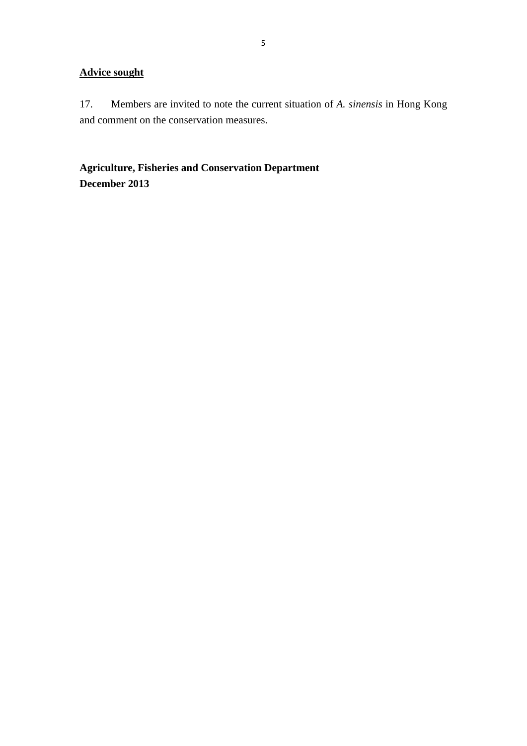### **Advice sought**

17. Members are invited to note the current situation of *A. sinensis* in Hong Kong and comment on the conservation measures.

**Agriculture, Fisheries and Conservation Department December 2013**